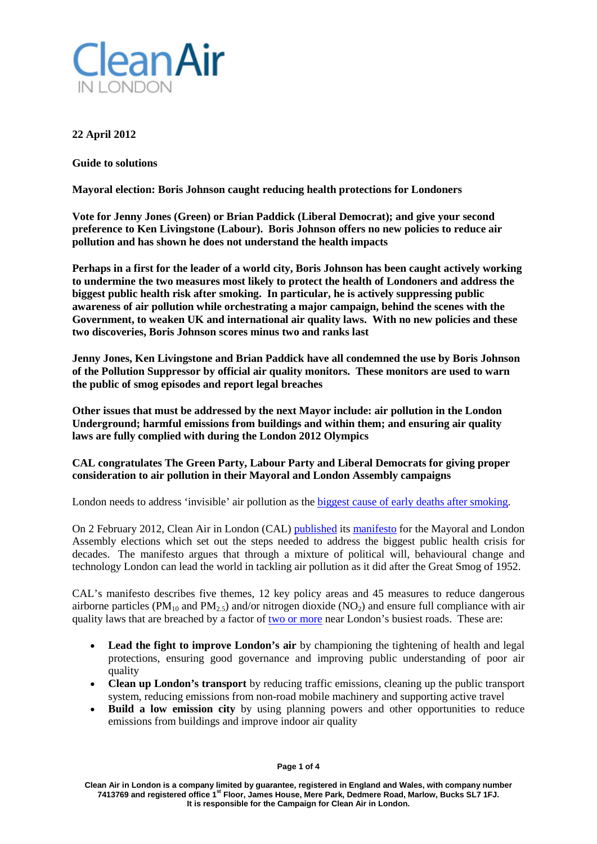

# **22 April 2012**

**Guide to solutions**

**Mayoral election: Boris Johnson caught reducing health protections for Londoners**

**Vote for Jenny Jones (Green) or Brian Paddick (Liberal Democrat); and give your second preference to Ken Livingstone (Labour). Boris Johnson offers no new policies to reduce air pollution and has shown he does not understand the health impacts**

**Perhaps in a first for the leader of a world city, Boris Johnson has been caught actively working to undermine the two measures most likely to protect the health of Londoners and address the biggest public health risk after smoking. In particular, he is actively suppressing public awareness of air pollution while orchestrating a major campaign, behind the scenes with the Government, to weaken UK and international air quality laws. With no new policies and these two discoveries, Boris Johnson scores minus two and ranks last**

**Jenny Jones, Ken Livingstone and Brian Paddick have all condemned the use by Boris Johnson of the Pollution Suppressor by official air quality monitors. These monitors are used to warn the public of smog episodes and report legal breaches**

**Other issues that must be addressed by the next Mayor include: air pollution in the London Underground; harmful emissions from buildings and within them; and ensuring air quality laws are fully complied with during the London 2012 Olympics**

# **CAL congratulates The Green Party, Labour Party and Liberal Democrats for giving proper consideration to air pollution in their Mayoral and London Assembly campaigns**

London needs to address 'invisible' air pollution as th[e biggest cause of early deaths after smoking.](http://cleanairinlondon.org/health/guide-to-health-impacts-invisible-air-pollution-is-the-biggest-public-health-failing-or-cover-up-for-decades/)

On 2 February 2012, Clean Air in London (CAL) [published](http://cleanairinlondon.org/indoor-air-quality/clean-air-in-london-launches-manifesto-for-the-mayoral-and-london-assembly-election/) its [manifesto](http://cleanairinlondon.org/indoor-air-quality/manifesto-for-the-mayoral-and-london-assembly-elections/) for the Mayoral and London Assembly elections which set out the steps needed to address the biggest public health crisis for decades. The manifesto argues that through a mixture of political will, behavioural change and technology London can lead the world in tackling air pollution as it did after the Great Smog of 1952.

CAL's manifesto describes five themes, 12 key policy areas and 45 measures to reduce dangerous airborne particles ( $PM_{10}$  and  $PM_{2.5}$ ) and/or nitrogen dioxide ( $NO<sub>2</sub>$ ) and ensure full compliance with air quality laws that are breached by a factor of <u>two or more</u> near London's busiest roads. These are:

- **Lead the fight to improve London's air** by championing the tightening of health and legal protections, ensuring good governance and improving public understanding of poor air quality
- **Clean up London's transport** by reducing traffic emissions, cleaning up the public transport system, reducing emissions from non-road mobile machinery and supporting active travel
- **Build a low emission city** by using planning powers and other opportunities to reduce emissions from buildings and improve indoor air quality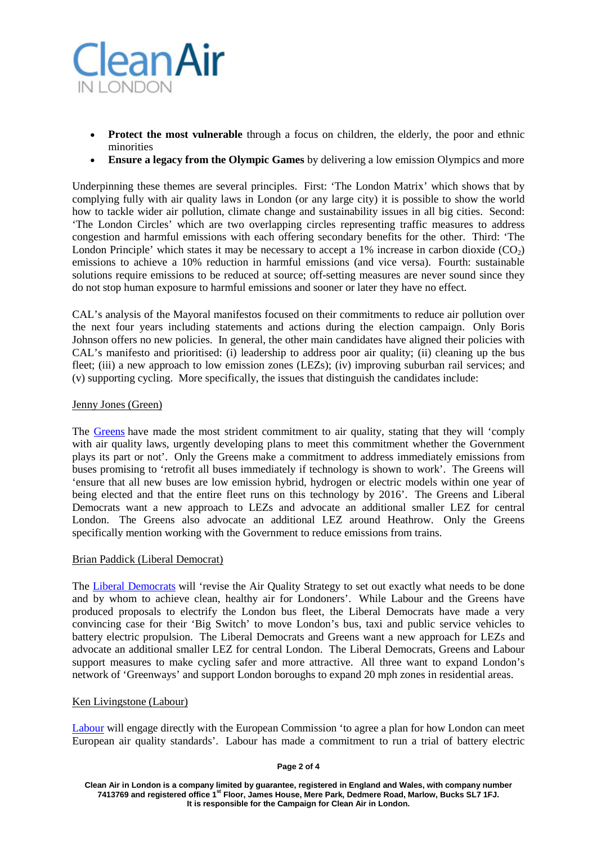

- **Protect the most vulnerable** through a focus on children, the elderly, the poor and ethnic minorities
- **Ensure a legacy from the Olympic Games** by delivering a low emission Olympics and more

Underpinning these themes are several principles. First: 'The London Matrix' which shows that by complying fully with air quality laws in London (or any large city) it is possible to show the world how to tackle wider air pollution, climate change and sustainability issues in all big cities. Second: 'The London Circles' which are two overlapping circles representing traffic measures to address congestion and harmful emissions with each offering secondary benefits for the other. Third: 'The London Principle' which states it may be necessary to accept a 1% increase in carbon dioxide  $(CO<sub>2</sub>)$ emissions to achieve a 10% reduction in harmful emissions (and vice versa). Fourth: sustainable solutions require emissions to be reduced at source; off-setting measures are never sound since they do not stop human exposure to harmful emissions and sooner or later they have no effect.

CAL's analysis of the Mayoral manifestos focused on their commitments to reduce air pollution over the next four years including statements and actions during the election campaign. Only Boris Johnson offers no new policies. In general, the other main candidates have aligned their policies with CAL's manifesto and prioritised: (i) leadership to address poor air quality; (ii) cleaning up the bus fleet; (iii) a new approach to low emission zones (LEZs); (iv) improving suburban rail services; and (v) supporting cycling. More specifically, the issues that distinguish the candidates include:

## Jenny Jones (Green)

The [Greens](http://london.greenparty.org.uk/assets/images/londonimages/manifesto2012/Green_Party_manifesto_london2012_download.pdf) have made the most strident commitment to air quality, stating that they will 'comply with air quality laws, urgently developing plans to meet this commitment whether the Government plays its part or not'. Only the Greens make a commitment to address immediately emissions from buses promising to 'retrofit all buses immediately if technology is shown to work'. The Greens will 'ensure that all new buses are low emission hybrid, hydrogen or electric models within one year of being elected and that the entire fleet runs on this technology by 2016'. The Greens and Liberal Democrats want a new approach to LEZs and advocate an additional smaller LEZ for central London. The Greens also advocate an additional LEZ around Heathrow. Only the Greens specifically mention working with the Government to reduce emissions from trains.

#### Brian Paddick (Liberal Democrat)

The [Liberal Democrats](http://libdems4london.org.uk/en/) will 'revise the Air Quality Strategy to set out exactly what needs to be done and by whom to achieve clean, healthy air for Londoners'. While Labour and the Greens have produced proposals to electrify the London bus fleet, the Liberal Democrats have made a very convincing case for their 'Big Switch' to move London's bus, taxi and public service vehicles to battery electric propulsion. The Liberal Democrats and Greens want a new approach for LEZs and advocate an additional smaller LEZ for central London. The Liberal Democrats, Greens and Labour support measures to make cycling safer and more attractive. All three want to expand London's network of 'Greenways' and support London boroughs to expand 20 mph zones in residential areas.

### Ken Livingstone (Labour)

[Labour](http://www.labour.org.uk/) will engage directly with the European Commission 'to agree a plan for how London can meet European air quality standards'. Labour has made a commitment to run a trial of battery electric

#### **Page 2 of 4**

**Clean Air in London is a company limited by guarantee, registered in England and Wales, with company number 7413769 and registered office 1st Floor, James House, Mere Park, Dedmere Road, Marlow, Bucks SL7 1FJ. It is responsible for the Campaign for Clean Air in London.**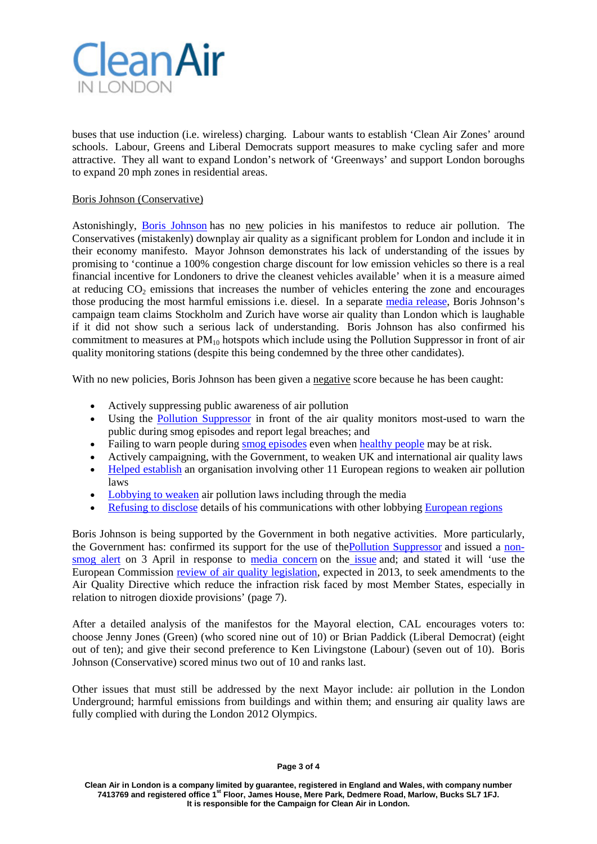

buses that use induction (i.e. wireless) charging. Labour wants to establish 'Clean Air Zones' around schools. Labour, Greens and Liberal Democrats support measures to make cycling safer and more attractive. They all want to expand London's network of 'Greenways' and support London boroughs to expand 20 mph zones in residential areas.

## Boris Johnson (Conservative)

Astonishingly, [Boris Johnson](http://www.backboris2012.com/manifesto) has no new policies in his manifestos to reduce air pollution. The Conservatives (mistakenly) downplay air quality as a significant problem for London and include it in their economy manifesto. Mayor Johnson demonstrates his lack of understanding of the issues by promising to 'continue a 100% congestion charge discount for low emission vehicles so there is a real financial incentive for Londoners to drive the cleanest vehicles available' when it is a measure aimed at reducing  $CO<sub>2</sub>$  emissions that increases the number of vehicles entering the zone and encourages those producing the most harmful emissions i.e. diesel. In a separate [media release,](http://media.backboris2012.com/pressrelease/ken-livingstone-sky-news-dabate-false-claims/) Boris Johnson's campaign team claims Stockholm and Zurich have worse air quality than London which is laughable if it did not show such a serious lack of understanding. Boris Johnson has also confirmed his commitment to measures at  $PM_{10}$  hotspots which include using the Pollution Suppressor in front of air quality monitoring stations (despite this being condemned by the three other candidates).

With no new policies. Boris Johnson has been given a negative score because he has been caught:

- Actively suppressing public awareness of air pollution
- Using the [Pollution Suppressor](http://cleanairinlondon.org/hot-topics/public-health-fraud/) in front of the air quality monitors most-used to warn the public during smog episodes and report legal breaches; and
- Failing to warn people during [smog episodes](http://www.londonair.org.uk/london/asp/publicepisodes.asp?region=0) even when [healthy people](http://www.londonair.org.uk/london/asp/airpollutionhealth.asp?HealthPage=HealthAdvice) may be at risk.
- Actively campaigning, with the Government, to weaken UK and international air quality laws
- [Helped establish](http://mqt.london.gov.uk/mqt/public/question.do?id=40550) an organisation involving other 11 European regions to weaken air pollution laws
- [Lobbying to weaken](http://www.euractiv.com/sustainability/industrial-regions-seek-flexible-news-509597) air pollution laws including through the media
- [Refusing to disclose](http://www.whatdotheyknow.com/request/request_for_information_re_gla_a#outgoing-196618) details of his communications with other lobbying [European regions](http://en.vleva.eu/AIR-page)

Boris Johnson is being supported by the Government in both negative activities. More particularly, the Government has: confirmed its support for the use of the <u>Pollution Suppressor</u> and issued a [non](http://www.defra.gov.uk/news/2012/04/03/air-pollution/)[smog alert](http://www.defra.gov.uk/news/2012/04/03/air-pollution/) on 3 April in response to [media concern](http://www.telegraph.co.uk/earth/environment/9176249/Air-quality-doubts-over-the-London-Olympics.html) on the [issue](http://www.telegraph.co.uk/health/healthnews/9190466/Life-wont-be-the-same-without-antibiotics.html) and; and stated it will 'use the European Commission [review of air quality legislation,](http://cleanairinlondon.org/wp-content/uploads/CAL-177-pb13728-red-tape-environment.pdf) expected in 2013, to seek amendments to the Air Quality Directive which reduce the infraction risk faced by most Member States, especially in relation to nitrogen dioxide provisions' (page 7).

After a detailed analysis of the manifestos for the Mayoral election, CAL encourages voters to: choose Jenny Jones (Green) (who scored nine out of 10) or Brian Paddick (Liberal Democrat) (eight out of ten); and give their second preference to Ken Livingstone (Labour) (seven out of 10). Boris Johnson (Conservative) scored minus two out of 10 and ranks last.

Other issues that must still be addressed by the next Mayor include: air pollution in the London Underground; harmful emissions from buildings and within them; and ensuring air quality laws are fully complied with during the London 2012 Olympics.